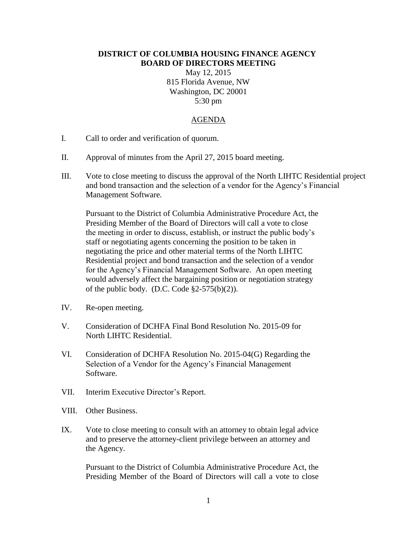## **DISTRICT OF COLUMBIA HOUSING FINANCE AGENCY BOARD OF DIRECTORS MEETING**

May 12, 2015 815 Florida Avenue, NW Washington, DC 20001 5:30 pm

## AGENDA

- I. Call to order and verification of quorum.
- II. Approval of minutes from the April 27, 2015 board meeting.
- III. Vote to close meeting to discuss the approval of the North LIHTC Residential project and bond transaction and the selection of a vendor for the Agency's Financial Management Software.

Pursuant to the District of Columbia Administrative Procedure Act, the Presiding Member of the Board of Directors will call a vote to close the meeting in order to discuss, establish, or instruct the public body's staff or negotiating agents concerning the position to be taken in negotiating the price and other material terms of the North LIHTC Residential project and bond transaction and the selection of a vendor for the Agency's Financial Management Software. An open meeting would adversely affect the bargaining position or negotiation strategy of the public body. (D.C. Code  $\S2-575(b)(2)$ ).

- IV. Re-open meeting.
- V. Consideration of DCHFA Final Bond Resolution No. 2015-09 for North LIHTC Residential.
- VI. Consideration of DCHFA Resolution No. 2015-04(G) Regarding the Selection of a Vendor for the Agency's Financial Management Software.
- VII. Interim Executive Director's Report.
- VIII. Other Business.
- IX. Vote to close meeting to consult with an attorney to obtain legal advice and to preserve the attorney-client privilege between an attorney and the Agency.

Pursuant to the District of Columbia Administrative Procedure Act, the Presiding Member of the Board of Directors will call a vote to close